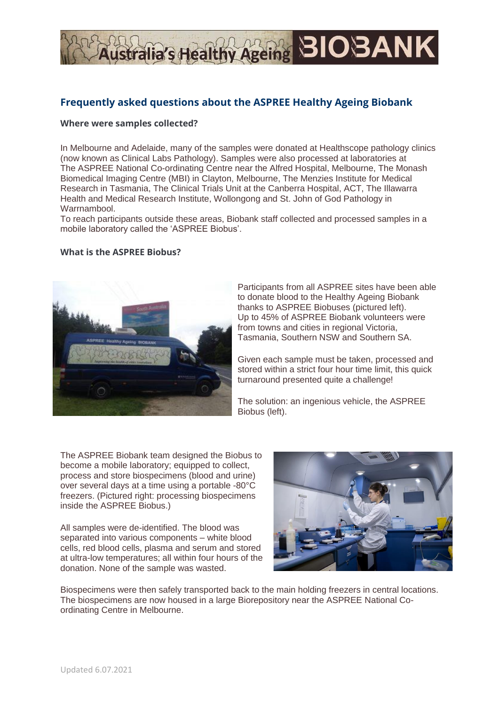# stralia's Healthy Ageing **BIOBANK**

# **Frequently asked questions about the ASPREE Healthy Ageing Biobank**

#### **Where were samples collected?**

In Melbourne and Adelaide, many of the samples were donated at Healthscope pathology clinics (now known as Clinical Labs Pathology). Samples were also processed at laboratories at The ASPREE National Co-ordinating Centre near the Alfred Hospital, Melbourne, The Monash Biomedical Imaging Centre (MBI) in Clayton, Melbourne, The Menzies Institute for Medical Research in Tasmania, The Clinical Trials Unit at the Canberra Hospital, ACT, The Illawarra Health and Medical Research Institute, Wollongong and St. John of God Pathology in Warrnambool.

To reach participants outside these areas, Biobank staff collected and processed samples in a mobile laboratory called the 'ASPREE Biobus'.

#### **What is the ASPREE Biobus?**



Participants from all ASPREE sites have been able to donate blood to the Healthy Ageing Biobank thanks to ASPREE Biobuses (pictured left). Up to 45% of ASPREE Biobank volunteers were from towns and cities in regional Victoria, Tasmania, Southern NSW and Southern SA.

Given each sample must be taken, processed and stored within a strict four hour time limit, this quick turnaround presented quite a challenge!

The solution: an ingenious vehicle, the ASPREE Biobus (left).

The ASPREE Biobank team designed the Biobus to become a mobile laboratory; equipped to collect, process and store biospecimens (blood and urine) over several days at a time using a portable -80°C freezers. (Pictured right: processing biospecimens inside the ASPREE Biobus.)

All samples were de-identified. The blood was separated into various components – white blood cells, red blood cells, plasma and serum and stored at ultra-low temperatures; all within four hours of the donation. None of the sample was wasted.



Biospecimens were then safely transported back to the main holding freezers in central locations. The biospecimens are now housed in a large Biorepository near the ASPREE National Coordinating Centre in Melbourne.